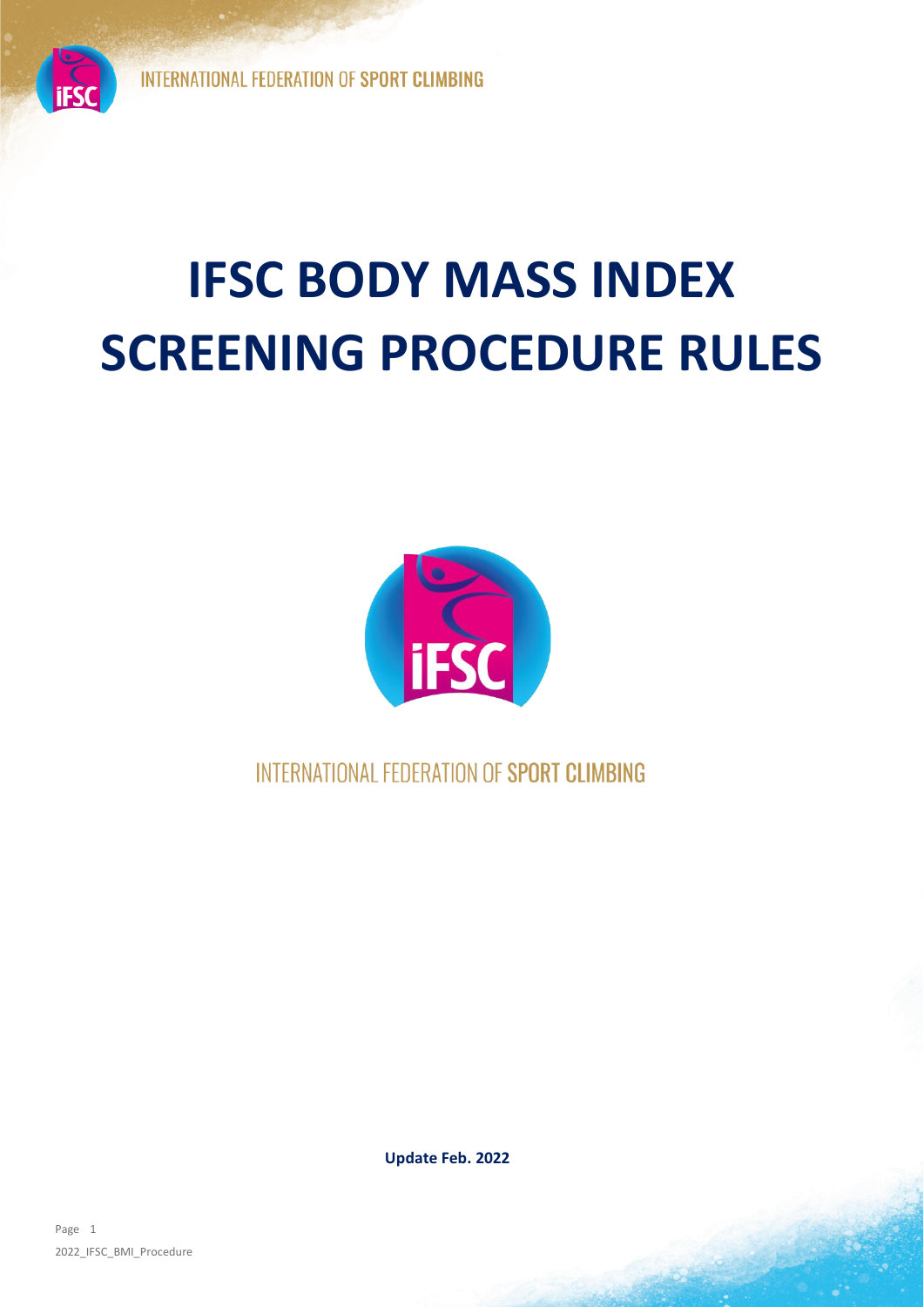# **IFSC BODY MASS INDEX SCREENING PROCEDURE RULES**



INTERNATIONAL FEDERATION OF SPORT CLIMBING

**Update Feb. 2022**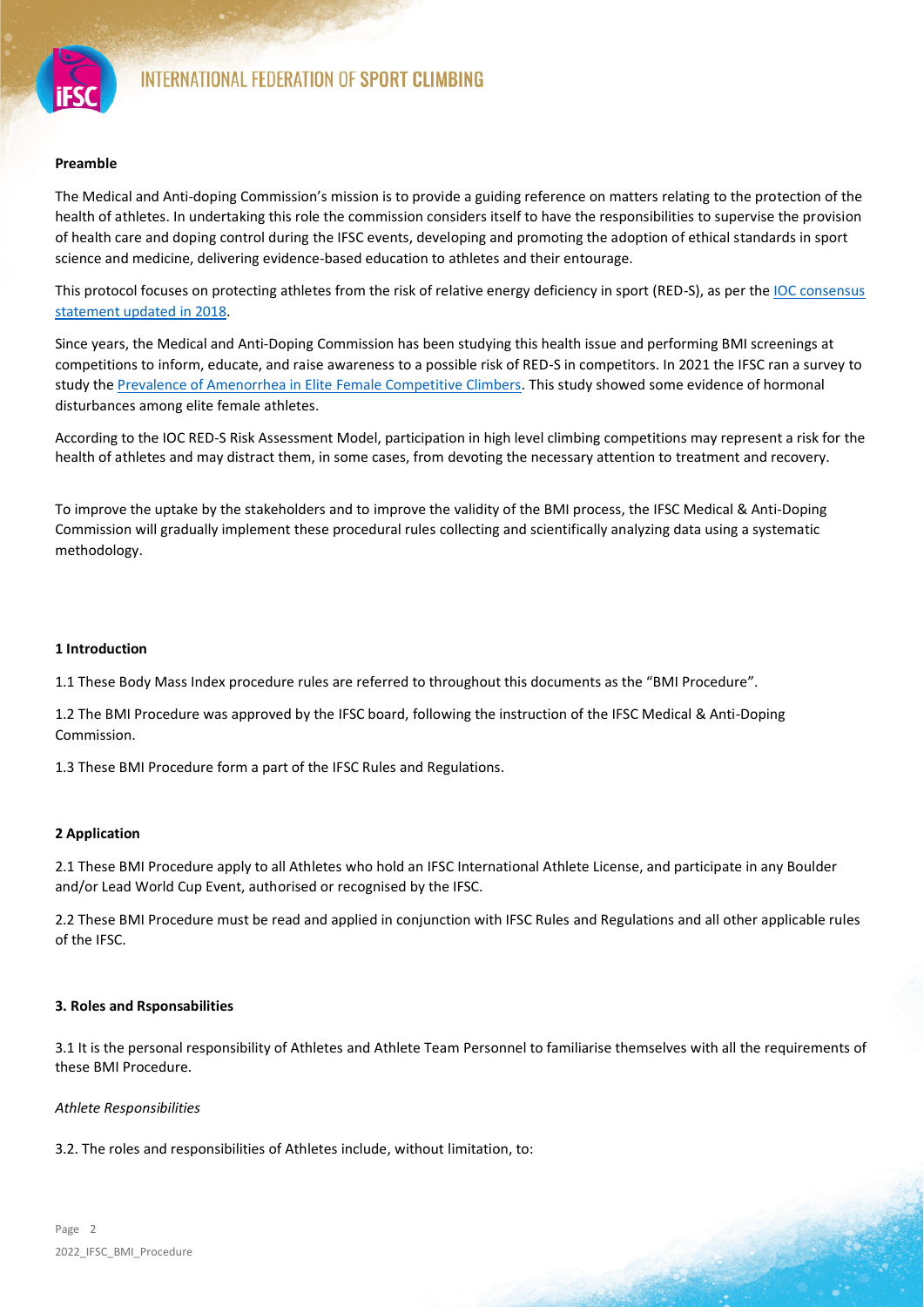

#### **Preamble**

The Medical and Anti-doping Commission's mission is to provide a guiding reference on matters relating to the protection of the health of athletes. In undertaking this role the commission considers itself to have the responsibilities to supervise the provision of health care and doping control during the IFSC events, developing and promoting the adoption of ethical standards in sport science and medicine, delivering evidence-based education to athletes and their entourage.

This protocol focuses on protecting athletes from the risk of relative energy deficiency in sport (RED-S), as per the [IOC consensus](https://bjsm.bmj.com/content/52/11/687)  [statement updated in 2018.](https://bjsm.bmj.com/content/52/11/687)

Since years, the Medical and Anti-Doping Commission has been studying this health issue and performing BMI screenings at competitions to inform, educate, and raise awareness to a possible risk of RED-S in competitors. In 2021 the IFSC ran a survey to study the [Prevalence of Amenorrhea in Elite Female Competitive Climbers.](https://www.ncbi.nlm.nih.gov/pmc/articles/PMC7739584/) This study showed some evidence of hormonal disturbances among elite female athletes.

According to the IOC RED-S Risk Assessment Model, participation in high level climbing competitions may represent a risk for the health of athletes and may distract them, in some cases, from devoting the necessary attention to treatment and recovery.

To improve the uptake by the stakeholders and to improve the validity of the BMI process, the IFSC Medical & Anti-Doping Commission will gradually implement these procedural rules collecting and scientifically analyzing data using a systematic methodology.

#### **1 Introduction**

1.1 These Body Mass Index procedure rules are referred to throughout this documents as the "BMI Procedure".

1.2 The BMI Procedure was approved by the IFSC board, following the instruction of the IFSC Medical & Anti-Doping Commission.

1.3 These BMI Procedure form a part of the IFSC Rules and Regulations.

# **2 Application**

2.1 These BMI Procedure apply to all Athletes who hold an IFSC International Athlete License, and participate in any Boulder and/or Lead World Cup Event, authorised or recognised by the IFSC.

2.2 These BMI Procedure must be read and applied in conjunction with IFSC Rules and Regulations and all other applicable rules of the IFSC.

#### **3. Roles and Rsponsabilities**

3.1 It is the personal responsibility of Athletes and Athlete Team Personnel to familiarise themselves with all the requirements of these BMI Procedure.

# *Athlete Responsibilities*

3.2. The roles and responsibilities of Athletes include, without limitation, to: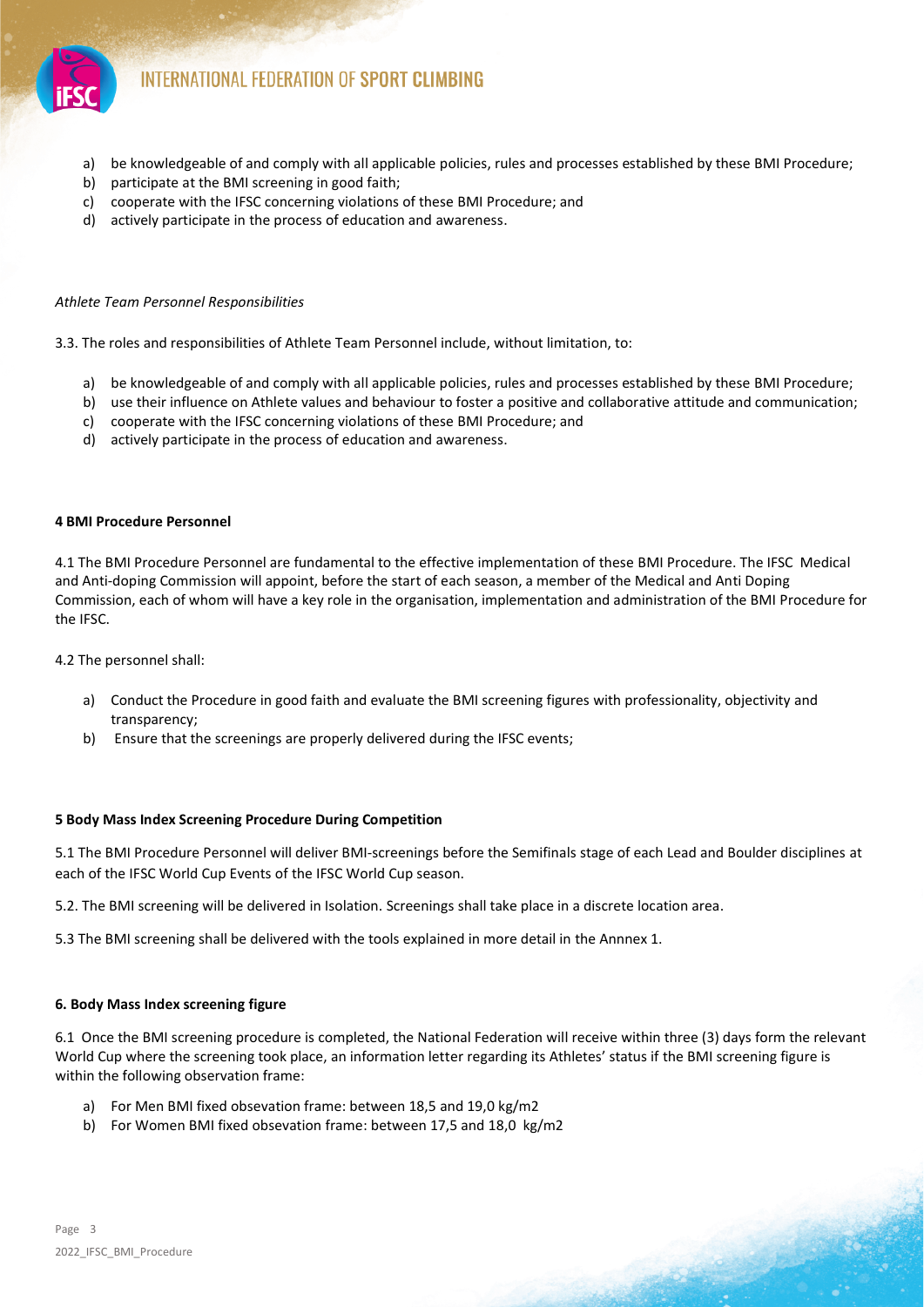

- a) be knowledgeable of and comply with all applicable policies, rules and processes established by these BMI Procedure;
- b) participate at the BMI screening in good faith;
- c) cooperate with the IFSC concerning violations of these BMI Procedure; and
- d) actively participate in the process of education and awareness.

#### *Athlete Team Personnel Responsibilities*

3.3. The roles and responsibilities of Athlete Team Personnel include, without limitation, to:

- a) be knowledgeable of and comply with all applicable policies, rules and processes established by these BMI Procedure;
- b) use their influence on Athlete values and behaviour to foster a positive and collaborative attitude and communication;
- c) cooperate with the IFSC concerning violations of these BMI Procedure; and
- d) actively participate in the process of education and awareness.

#### **4 BMI Procedure Personnel**

4.1 The BMI Procedure Personnel are fundamental to the effective implementation of these BMI Procedure. The IFSC Medical and Anti-doping Commission will appoint, before the start of each season, a member of the Medical and Anti Doping Commission, each of whom will have a key role in the organisation, implementation and administration of the BMI Procedure for the IFSC.

4.2 The personnel shall:

- a) Conduct the Procedure in good faith and evaluate the BMI screening figures with professionality, objectivity and transparency;
- b) Ensure that the screenings are properly delivered during the IFSC events;

#### **5 Body Mass Index Screening Procedure During Competition**

5.1 The BMI Procedure Personnel will deliver BMI-screenings before the Semifinals stage of each Lead and Boulder disciplines at each of the IFSC World Cup Events of the IFSC World Cup season.

5.2. The BMI screening will be delivered in Isolation. Screenings shall take place in a discrete location area.

5.3 The BMI screening shall be delivered with the tools explained in more detail in the Annnex 1.

#### **6. Body Mass Index screening figure**

6.1 Once the BMI screening procedure is completed, the National Federation will receive within three (3) days form the relevant World Cup where the screening took place, an information letter regarding its Athletes' status if the BMI screening figure is within the following observation frame:

- a) For Men BMI fixed obsevation frame: between 18,5 and 19,0 kg/m2
- b) For Women BMI fixed obsevation frame: between 17,5 and 18,0 kg/m2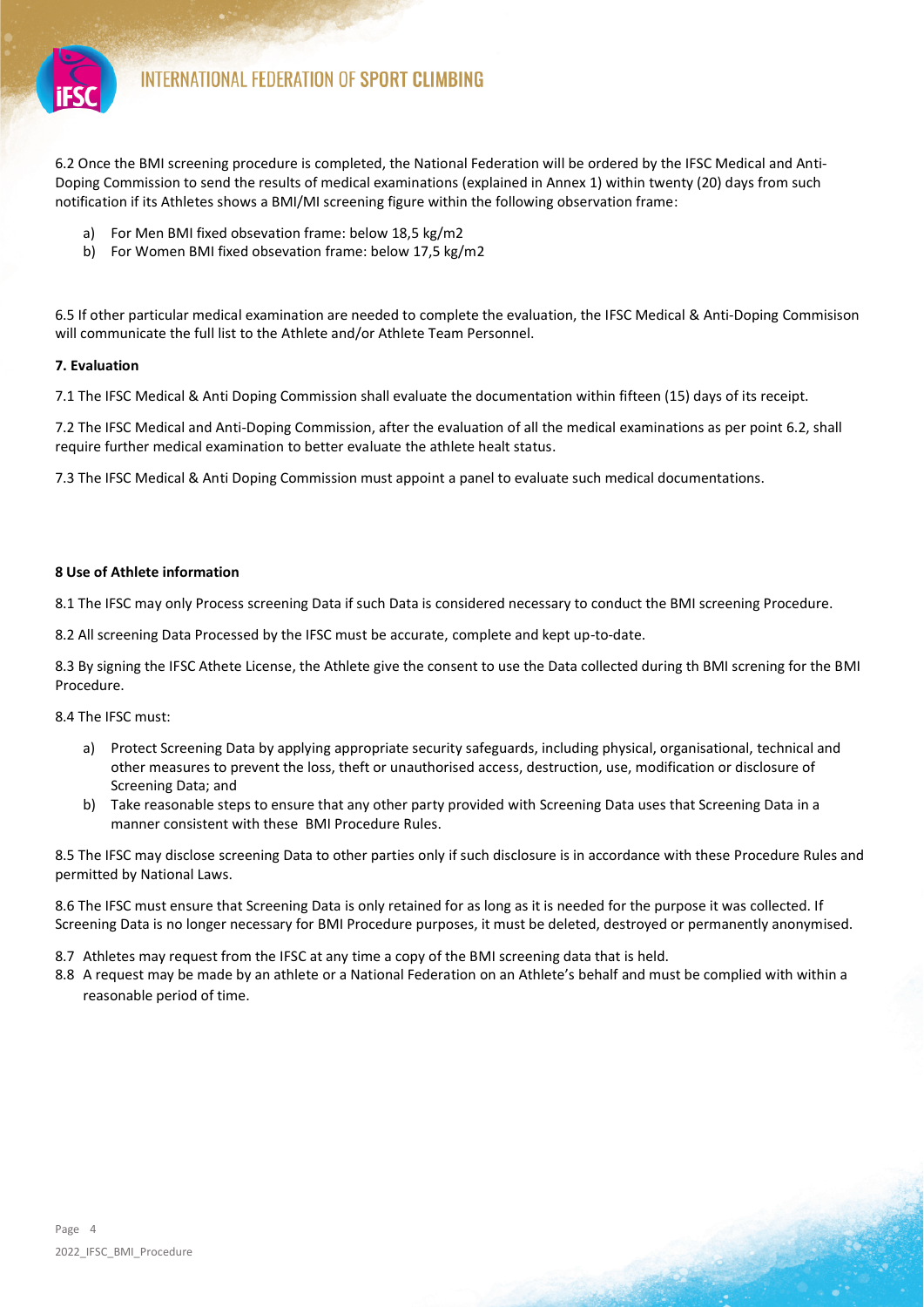

6.2 Once the BMI screening procedure is completed, the National Federation will be ordered by the IFSC Medical and Anti-Doping Commission to send the results of medical examinations (explained in Annex 1) within twenty (20) days from such notification if its Athletes shows a BMI/MI screening figure within the following observation frame:

- a) For Men BMI fixed obsevation frame: below 18,5 kg/m2
- b) For Women BMI fixed obsevation frame: below 17,5 kg/m2

6.5 If other particular medical examination are needed to complete the evaluation, the IFSC Medical & Anti-Doping Commisison will communicate the full list to the Athlete and/or Athlete Team Personnel.

# **7. Evaluation**

7.1 The IFSC Medical & Anti Doping Commission shall evaluate the documentation within fifteen (15) days of its receipt.

7.2 The IFSC Medical and Anti-Doping Commission, after the evaluation of all the medical examinations as per point 6.2, shall require further medical examination to better evaluate the athlete healt status.

7.3 The IFSC Medical & Anti Doping Commission must appoint a panel to evaluate such medical documentations.

# **8 Use of Athlete information**

8.1 The IFSC may only Process screening Data if such Data is considered necessary to conduct the BMI screening Procedure.

8.2 All screening Data Processed by the IFSC must be accurate, complete and kept up-to-date.

8.3 By signing the IFSC Athete License, the Athlete give the consent to use the Data collected during th BMI screning for the BMI Procedure.

8.4 The IFSC must:

- a) Protect Screening Data by applying appropriate security safeguards, including physical, organisational, technical and other measures to prevent the loss, theft or unauthorised access, destruction, use, modification or disclosure of Screening Data; and
- b) Take reasonable steps to ensure that any other party provided with Screening Data uses that Screening Data in a manner consistent with these BMI Procedure Rules.

8.5 The IFSC may disclose screening Data to other parties only if such disclosure is in accordance with these Procedure Rules and permitted by National Laws.

8.6 The IFSC must ensure that Screening Data is only retained for as long as it is needed for the purpose it was collected. If Screening Data is no longer necessary for BMI Procedure purposes, it must be deleted, destroyed or permanently anonymised.

8.7 Athletes may request from the IFSC at any time a copy of the BMI screening data that is held.

8.8 A request may be made by an athlete or a National Federation on an Athlete's behalf and must be complied with within a reasonable period of time.